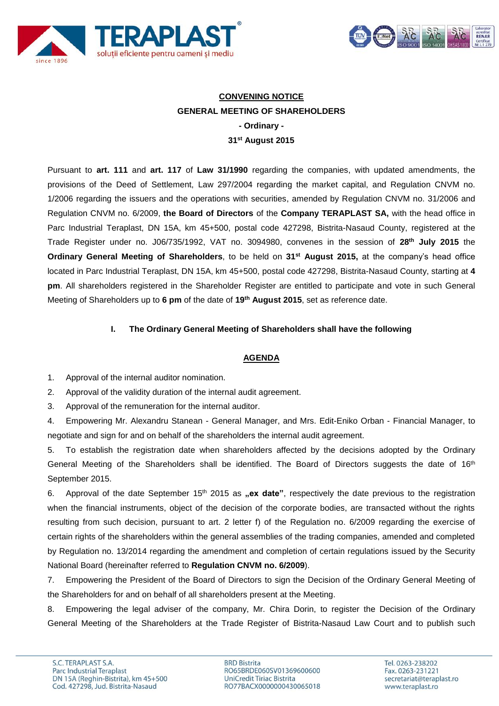



## **CONVENING NOTICE GENERAL MEETING OF SHAREHOLDERS - Ordinary - 31st August 2015**

Pursuant to **art. 111** and **art. 117** of **Law 31/1990** regarding the companies, with updated amendments, the provisions of the Deed of Settlement, Law 297/2004 regarding the market capital, and Regulation CNVM no. 1/2006 regarding the issuers and the operations with securities, amended by Regulation CNVM no. 31/2006 and Regulation CNVM no. 6/2009, **the Board of Directors** of the **Company TERAPLAST SA,** with the head office in Parc Industrial Teraplast, DN 15A, km 45+500, postal code 427298, Bistrita-Nasaud County, registered at the Trade Register under no. J06/735/1992, VAT no. 3094980, convenes in the session of **28th July 2015** the **Ordinary General Meeting of Shareholders**, to be held on **31st August 2015,** at the company's head office located in Parc Industrial Teraplast, DN 15A, km 45+500, postal code 427298, Bistrita-Nasaud County, starting at **4 pm**. All shareholders registered in the Shareholder Register are entitled to participate and vote in such General Meeting of Shareholders up to **6 pm** of the date of **19th August 2015**, set as reference date.

## **I. The Ordinary General Meeting of Shareholders shall have the following**

## **AGENDA**

- 1. Approval of the internal auditor nomination.
- 2. Approval of the validity duration of the internal audit agreement.
- 3. Approval of the remuneration for the internal auditor.
- 4. Empowering Mr. Alexandru Stanean General Manager, and Mrs. Edit-Eniko Orban Financial Manager, to negotiate and sign for and on behalf of the shareholders the internal audit agreement.

5. To establish the registration date when shareholders affected by the decisions adopted by the Ordinary General Meeting of the Shareholders shall be identified. The Board of Directors suggests the date of 16<sup>th</sup> September 2015.

6. Approval of the date September 15<sup>th</sup> 2015 as **"ex date**", respectively the date previous to the registration when the financial instruments, object of the decision of the corporate bodies, are transacted without the rights resulting from such decision, pursuant to art. 2 letter f) of the Regulation no. 6/2009 regarding the exercise of certain rights of the shareholders within the general assemblies of the trading companies, amended and completed by Regulation no. 13/2014 regarding the amendment and completion of certain regulations issued by the Security National Board (hereinafter referred to **Regulation CNVM no. 6/2009**).

7. Empowering the President of the Board of Directors to sign the Decision of the Ordinary General Meeting of the Shareholders for and on behalf of all shareholders present at the Meeting.

8. Empowering the legal adviser of the company, Mr. Chira Dorin, to register the Decision of the Ordinary General Meeting of the Shareholders at the Trade Register of Bistrita-Nasaud Law Court and to publish such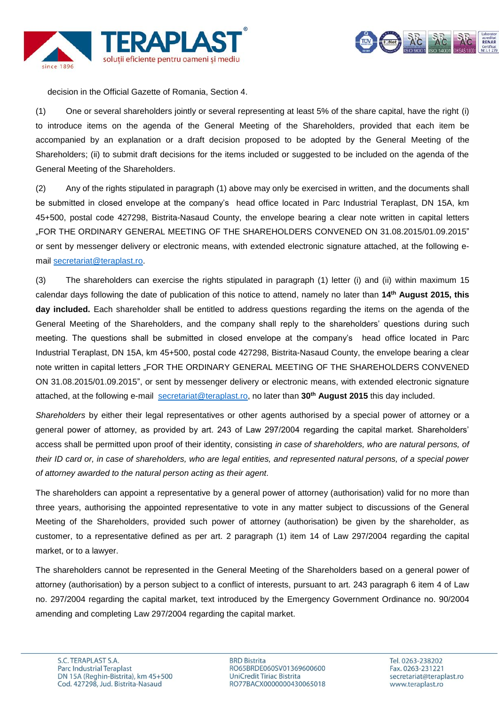



decision in the Official Gazette of Romania, Section 4.

(1) One or several shareholders jointly or several representing at least 5% of the share capital, have the right (i) to introduce items on the agenda of the General Meeting of the Shareholders, provided that each item be accompanied by an explanation or a draft decision proposed to be adopted by the General Meeting of the Shareholders; (ii) to submit draft decisions for the items included or suggested to be included on the agenda of the General Meeting of the Shareholders.

(2) Any of the rights stipulated in paragraph (1) above may only be exercised in written, and the documents shall be submitted in closed envelope at the company's head office located in Parc Industrial Teraplast, DN 15A, km 45+500, postal code 427298, Bistrita-Nasaud County, the envelope bearing a clear note written in capital letters "FOR THE ORDINARY GENERAL MEETING OF THE SHAREHOLDERS CONVENED ON 31.08.2015/01.09.2015" or sent by messenger delivery or electronic means, with extended electronic signature attached, at the following email [secretariat@teraplast.ro.](mailto:secretariat@teraplast.ro)

(3) The shareholders can exercise the rights stipulated in paragraph (1) letter (i) and (ii) within maximum 15 calendar days following the date of publication of this notice to attend, namely no later than **14th August 2015, this day included.** Each shareholder shall be entitled to address questions regarding the items on the agenda of the General Meeting of the Shareholders, and the company shall reply to the shareholders' questions during such meeting. The questions shall be submitted in closed envelope at the company's head office located in Parc Industrial Teraplast, DN 15A, km 45+500, postal code 427298, Bistrita-Nasaud County, the envelope bearing a clear note written in capital letters "FOR THE ORDINARY GENERAL MEETING OF THE SHAREHOLDERS CONVENED ON 31.08.2015/01.09.2015", or sent by messenger delivery or electronic means, with extended electronic signature attached, at the following e-mail [secretariat@teraplast.ro,](mailto:secretariat@teraplast.ro) no later than **30th August 2015** this day included.

*Shareholders* by either their legal representatives or other agents authorised by a special power of attorney or a general power of attorney, as provided by art. 243 of Law 297/2004 regarding the capital market. Shareholders' access shall be permitted upon proof of their identity, consisting *in case of shareholders, who are natural persons, of their ID card or, in case of shareholders, who are legal entities, and represented natural persons, of a special power of attorney awarded to the natural person acting as their agent.*

The shareholders can appoint a representative by a general power of attorney (authorisation) valid for no more than three years, authorising the appointed representative to vote in any matter subject to discussions of the General Meeting of the Shareholders, provided such power of attorney (authorisation) be given by the shareholder, as customer, to a representative defined as per art. 2 paragraph (1) item 14 of Law 297/2004 regarding the capital market, or to a lawyer.

The shareholders cannot be represented in the General Meeting of the Shareholders based on a general power of attorney (authorisation) by a person subject to a conflict of interests, pursuant to art. 243 paragraph 6 item 4 of Law no. 297/2004 regarding the capital market, text introduced by the Emergency Government Ordinance no. 90/2004 amending and completing Law 297/2004 regarding the capital market.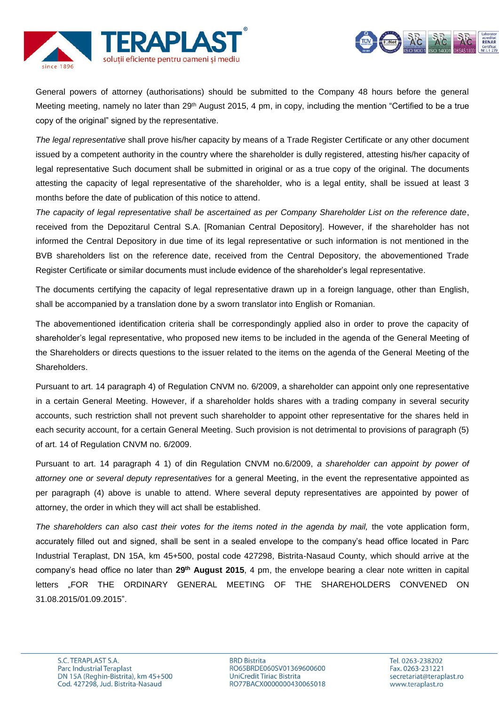



General powers of attorney (authorisations) should be submitted to the Company 48 hours before the general Meeting meeting, namely no later than 29<sup>th</sup> August 2015, 4 pm, in copy, including the mention "Certified to be a true copy of the original" signed by the representative.

*The legal representative* shall prove his/her capacity by means of a Trade Register Certificate or any other document issued by a competent authority in the country where the shareholder is dully registered, attesting his/her capacity of legal representative Such document shall be submitted in original or as a true copy of the original. The documents attesting the capacity of legal representative of the shareholder, who is a legal entity, shall be issued at least 3 months before the date of publication of this notice to attend.

*The capacity of legal representative shall be ascertained as per Company Shareholder List on the reference date*, received from the Depozitarul Central S.A. [Romanian Central Depository]. However, if the shareholder has not informed the Central Depository in due time of its legal representative or such information is not mentioned in the BVB shareholders list on the reference date, received from the Central Depository, the abovementioned Trade Register Certificate or similar documents must include evidence of the shareholder's legal representative.

The documents certifying the capacity of legal representative drawn up in a foreign language, other than English, shall be accompanied by a translation done by a sworn translator into English or Romanian.

The abovementioned identification criteria shall be correspondingly applied also in order to prove the capacity of shareholder's legal representative, who proposed new items to be included in the agenda of the General Meeting of the Shareholders or directs questions to the issuer related to the items on the agenda of the General Meeting of the Shareholders.

Pursuant to art. 14 paragraph 4) of Regulation CNVM no. 6/2009, a shareholder can appoint only one representative in a certain General Meeting. However, if a shareholder holds shares with a trading company in several security accounts, such restriction shall not prevent such shareholder to appoint other representative for the shares held in each security account, for a certain General Meeting. Such provision is not detrimental to provisions of paragraph (5) of art. 14 of Regulation CNVM no. 6/2009.

Pursuant to art. 14 paragraph 4 1) of din Regulation CNVM no.6/2009, *a shareholder can appoint by power of attorney one or several deputy representatives* for a general Meeting, in the event the representative appointed as per paragraph (4) above is unable to attend. Where several deputy representatives are appointed by power of attorney, the order in which they will act shall be established.

The shareholders can also cast their votes for the items noted in the agenda by mail, the vote application form, accurately filled out and signed, shall be sent in a sealed envelope to the company's head office located in Parc Industrial Teraplast, DN 15A, km 45+500, postal code 427298, Bistrita-Nasaud County, which should arrive at the company's head office no later than 29<sup>th</sup> August 2015, 4 pm, the envelope bearing a clear note written in capital letters "FOR THE ORDINARY GENERAL MEETING OF THE SHAREHOLDERS CONVENED ON 31.08.2015/01.09.2015".